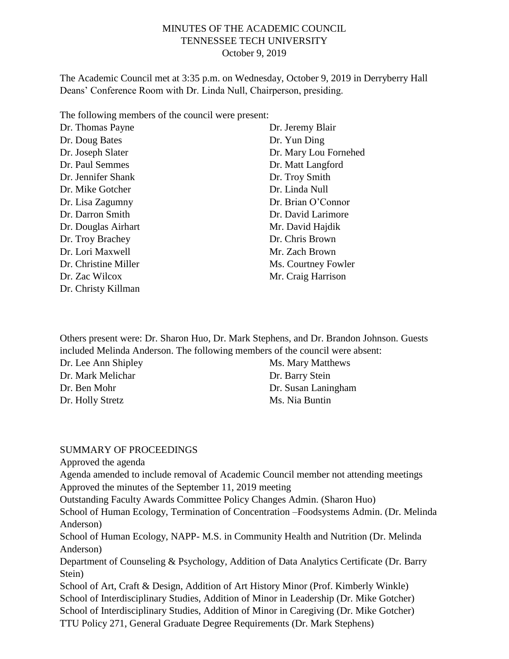#### MINUTES OF THE ACADEMIC COUNCIL TENNESSEE TECH UNIVERSITY October 9, 2019

The Academic Council met at 3:35 p.m. on Wednesday, October 9, 2019 in Derryberry Hall Deans' Conference Room with Dr. Linda Null, Chairperson, presiding.

The following members of the council were present:

| Dr. Thomas Payne     | Dr. Jeremy Blair      |
|----------------------|-----------------------|
| Dr. Doug Bates       | Dr. Yun Ding          |
| Dr. Joseph Slater    | Dr. Mary Lou Fornehed |
| Dr. Paul Semmes      | Dr. Matt Langford     |
| Dr. Jennifer Shank   | Dr. Troy Smith        |
| Dr. Mike Gotcher     | Dr. Linda Null        |
| Dr. Lisa Zagumny     | Dr. Brian O'Connor    |
| Dr. Darron Smith     | Dr. David Larimore    |
| Dr. Douglas Airhart  | Mr. David Hajdik      |
| Dr. Troy Brachey     | Dr. Chris Brown       |
| Dr. Lori Maxwell     | Mr. Zach Brown        |
| Dr. Christine Miller | Ms. Courtney Fowler   |
| Dr. Zac Wilcox       | Mr. Craig Harrison    |
| Dr. Christy Killman  |                       |

Others present were: Dr. Sharon Huo, Dr. Mark Stephens, and Dr. Brandon Johnson. Guests included Melinda Anderson. The following members of the council were absent:

Dr. Lee Ann Shipley Dr. Mark Melichar Dr. Ben Mohr Dr. Holly Stretz

Ms. Mary Matthews Dr. Barry Stein Dr. Susan Laningham Ms. Nia Buntin

#### SUMMARY OF PROCEEDINGS

Approved the agenda

Agenda amended to include removal of Academic Council member not attending meetings Approved the minutes of the September 11, 2019 meeting

Outstanding Faculty Awards Committee Policy Changes Admin. (Sharon Huo)

School of Human Ecology, Termination of Concentration –Foodsystems Admin. (Dr. Melinda Anderson)

School of Human Ecology, NAPP- M.S. in Community Health and Nutrition (Dr. Melinda Anderson)

Department of Counseling & Psychology, Addition of Data Analytics Certificate (Dr. Barry Stein)

School of Art, Craft & Design, Addition of Art History Minor (Prof. Kimberly Winkle) School of Interdisciplinary Studies, Addition of Minor in Leadership (Dr. Mike Gotcher) School of Interdisciplinary Studies, Addition of Minor in Caregiving (Dr. Mike Gotcher) TTU Policy 271, General Graduate Degree Requirements (Dr. Mark Stephens)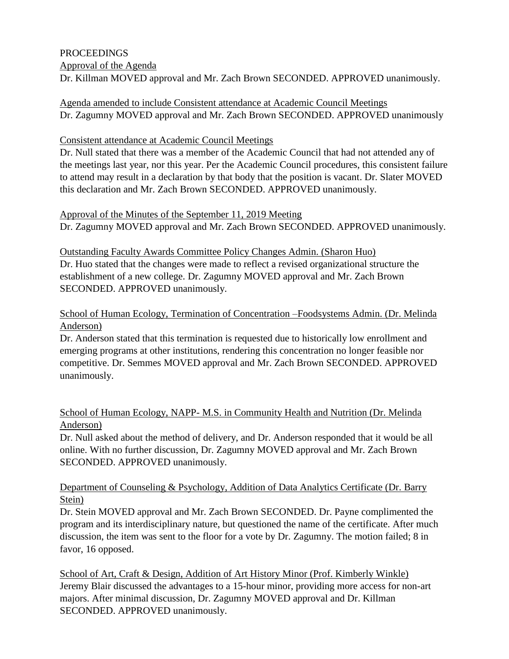# PROCEEDINGS

Approval of the Agenda

Dr. Killman MOVED approval and Mr. Zach Brown SECONDED. APPROVED unanimously.

Agenda amended to include Consistent attendance at Academic Council Meetings Dr. Zagumny MOVED approval and Mr. Zach Brown SECONDED. APPROVED unanimously

## Consistent attendance at Academic Council Meetings

Dr. Null stated that there was a member of the Academic Council that had not attended any of the meetings last year, nor this year. Per the Academic Council procedures, this consistent failure to attend may result in a declaration by that body that the position is vacant. Dr. Slater MOVED this declaration and Mr. Zach Brown SECONDED. APPROVED unanimously.

Approval of the Minutes of the September 11, 2019 Meeting Dr. Zagumny MOVED approval and Mr. Zach Brown SECONDED. APPROVED unanimously.

Outstanding Faculty Awards Committee Policy Changes Admin. (Sharon Huo) Dr. Huo stated that the changes were made to reflect a revised organizational structure the establishment of a new college. Dr. Zagumny MOVED approval and Mr. Zach Brown SECONDED. APPROVED unanimously.

## School of Human Ecology, Termination of Concentration –Foodsystems Admin. (Dr. Melinda Anderson)

Dr. Anderson stated that this termination is requested due to historically low enrollment and emerging programs at other institutions, rendering this concentration no longer feasible nor competitive. Dr. Semmes MOVED approval and Mr. Zach Brown SECONDED. APPROVED unanimously.

#### School of Human Ecology, NAPP- M.S. in Community Health and Nutrition (Dr. Melinda Anderson)

Dr. Null asked about the method of delivery, and Dr. Anderson responded that it would be all online. With no further discussion, Dr. Zagumny MOVED approval and Mr. Zach Brown SECONDED. APPROVED unanimously.

#### Department of Counseling & Psychology, Addition of Data Analytics Certificate (Dr. Barry Stein)

Dr. Stein MOVED approval and Mr. Zach Brown SECONDED. Dr. Payne complimented the program and its interdisciplinary nature, but questioned the name of the certificate. After much discussion, the item was sent to the floor for a vote by Dr. Zagumny. The motion failed; 8 in favor, 16 opposed.

School of Art, Craft & Design, Addition of Art History Minor (Prof. Kimberly Winkle) Jeremy Blair discussed the advantages to a 15-hour minor, providing more access for non-art majors. After minimal discussion, Dr. Zagumny MOVED approval and Dr. Killman SECONDED. APPROVED unanimously.